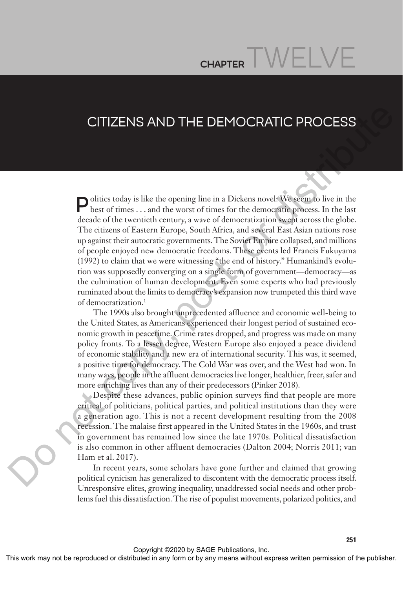# CHAPTER WELV

# CITIZENS AND THE DEMOCRATIC PROCESS

P olitics today is like the opening line in a Dickens novel: We seem to live in the best of times . . . and the worst of times for the democratic process. In the last decade of the twentieth century, a wave of democratization swept across the globe. The citizens of Eastern Europe, South Africa, and several East Asian nations rose up against their autocratic governments. The Soviet Empire collapsed, and millions of people enjoyed new democratic freedoms. These events led Francis Fukuyama (1992) to claim that we were witnessing "the end of history." Humankind's evolution was supposedly converging on a single form of government—democracy—as the culmination of human development. Even some experts who had previously ruminated about the limits to democracy's expansion now trumpeted this third wave of democratization.1 CITIZENS AND THE DEMOCRATIC PROCESS<br>
This work may not be reproduced or distributed in any form of the distributed in any form or by any means were stated in any form of the publisher. The consistent computed in any form

The 1990s also brought unprecedented affluence and economic well-being to the United States, as Americans experienced their longest period of sustained economic growth in peacetime. Crime rates dropped, and progress was made on many policy fronts. To a lesser degree, Western Europe also enjoyed a peace dividend of economic stability and a new era of international security. This was, it seemed, a positive time for democracy. The Cold War was over, and the West had won. In many ways, people in the affluent democracies live longer, healthier, freer, safer and more enriching lives than any of their predecessors (Pinker 2018).

Despite these advances, public opinion surveys find that people are more critical of politicians, political parties, and political institutions than they were a generation ago. This is not a recent development resulting from the 2008 recession. The malaise first appeared in the United States in the 1960s, and trust in government has remained low since the late 1970s. Political dissatisfaction is also common in other affluent democracies (Dalton 2004; Norris 2011; van Ham et al. 2017).

In recent years, some scholars have gone further and claimed that growing political cynicism has generalized to discontent with the democratic process itself. Unresponsive elites, growing inequality, unaddressed social needs and other problems fuel this dissatisfaction. The rise of populist movements, polarized politics, and

**251**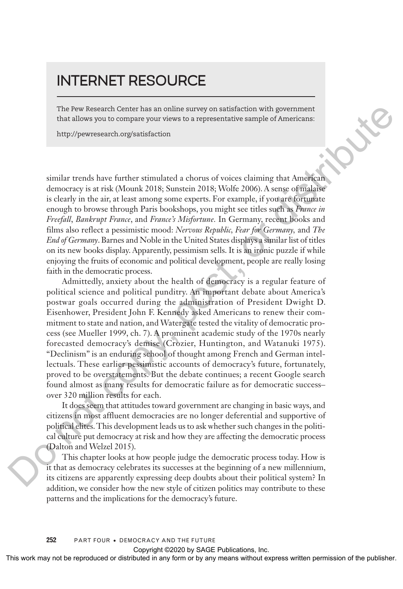# INTERNET RESOURCE

The Pew Research Center has an online survey on satisfaction with government that allows you to compare your views to a representative sample of Americans:

http://pewresearch.org/satisfaction

similar trends have further stimulated a chorus of voices claiming that American democracy is at risk (Mounk 2018; Sunstein 2018; Wolfe 2006). A sense of malaise is clearly in the air, at least among some experts. For example, if you are fortunate enough to browse through Paris bookshops, you might see titles such as *France in Freefall*, *Bankrupt France*, and *France's Misfortune.* In Germany, recent books and films also reflect a pessimistic mood: *Nervous Republic, Fear for Germany,* and *The End of Germany*. Barnes and Noble in the United States displays a similar list of titles on its new books display. Apparently, pessimism sells. It is an ironic puzzle if while enjoying the fruits of economic and political development, people are really losing faith in the democratic process.

Admittedly, anxiety about the health of democracy is a regular feature of political science and political punditry. An important debate about America's postwar goals occurred during the administration of President Dwight D. Eisenhower, President John F. Kennedy asked Americans to renew their commitment to state and nation, and Watergate tested the vitality of democratic process (see Mueller 1999, ch. 7). A prominent academic study of the 1970s nearly forecasted democracy's demise (Crozier, Huntington, and Watanuki 1975). "Declinism" is an enduring school of thought among French and German intellectuals. These earlier pessimistic accounts of democracy's future, fortunately, proved to be overstatements. But the debate continues; a recent Google search found almost as many results for democratic failure as for democratic success– over 320 million results for each. The we researed to extend the animal stribute are provided in any form of the results of the results of the results of the results of the results of the stributed in any form of the results of the comparison of the denoti

It does seem that attitudes toward government are changing in basic ways, and citizens in most affluent democracies are no longer deferential and supportive of political elites. This development leads us to ask whether such changes in the political culture put democracy at risk and how they are affecting the democratic process (Dalton and Welzel 2015).

This chapter looks at how people judge the democratic process today. How is it that as democracy celebrates its successes at the beginning of a new millennium, its citizens are apparently expressing deep doubts about their political system? In addition, we consider how the new style of citizen politics may contribute to these patterns and the implications for the democracy's future.

**252** PART FOUR • Democracy and the Future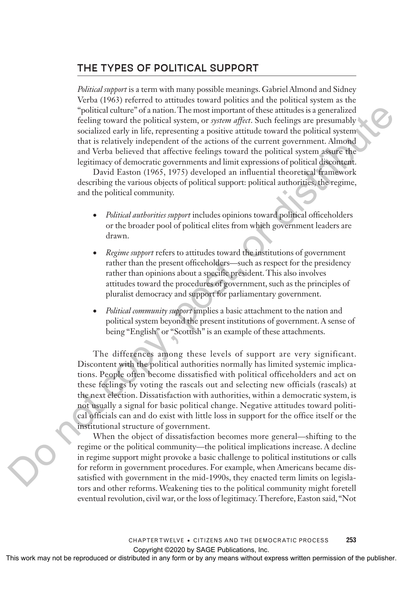# **THE TYPES OF POLITICAL SUPPORT**

*Political support* is a term with many possible meanings. Gabriel Almond and Sidney Verba (1963) referred to attitudes toward politics and the political system as the "political culture" of a nation. The most important of these attitudes is a generalized feeling toward the political system, or *system affect*. Such feelings are presumably socialized early in life, representing a positive attitude toward the political system that is relatively independent of the actions of the current government. Almond and Verba believed that affective feelings toward the political system assure the legitimacy of democratic governments and limit expressions of political discontent.

David Easton (1965, 1975) developed an influential theoretical framework describing the various objects of political support: political authorities, the regime, and the political community.

- *Political authorities support* includes opinions toward political officeholders or the broader pool of political elites from which government leaders are drawn.
- *Regime support* refers to attitudes toward the institutions of government rather than the present officeholders—such as respect for the presidency rather than opinions about a specific president. This also involves attitudes toward the procedures of government, such as the principles of pluralist democracy and support for parliamentary government.
- *Political community support* implies a basic attachment to the nation and political system beyond the present institutions of government. A sense of being "English" or "Scottish" is an example of these attachments.

The differences among these levels of support are very significant. Discontent with the political authorities normally has limited systemic implications. People often become dissatisfied with political officeholders and act on these feelings by voting the rascals out and selecting new officials (rascals) at the next election. Dissatisfaction with authorities, within a democratic system, is not usually a signal for basic political change. Negative attitudes toward political officials can and do exist with little loss in support for the office itself or the institutional structure of government. Point leads to any not more important of these attentions is a generalized by scaling to sent the publisher attack or sent the publisher attack or the interference or the interference or distributed in any means with the

When the object of dissatisfaction becomes more general—shifting to the regime or the political community—the political implications increase. A decline in regime support might provoke a basic challenge to political institutions or calls for reform in government procedures. For example, when Americans became dissatisfied with government in the mid-1990s, they enacted term limits on legislators and other reforms. Weakening ties to the political community might foretell eventual revolution, civil war, or the loss of legitimacy. Therefore, Easton said, "Not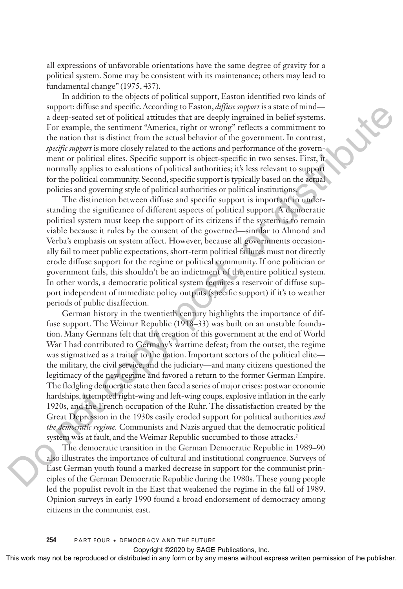all expressions of unfavorable orientations have the same degree of gravity for a political system. Some may be consistent with its maintenance; others may lead to fundamental change" (1975, 437).

In addition to the objects of political support, Easton identified two kinds of support: diffuse and specific. According to Easton, *diffuse support* is a state of mind a deep-seated set of political attitudes that are deeply ingrained in belief systems. For example, the sentiment "America, right or wrong" reflects a commitment to the nation that is distinct from the actual behavior of the government. In contrast, *specific support* is more closely related to the actions and performance of the government or political elites. Specific support is object-specific in two senses. First, it normally applies to evaluations of political authorities; it's less relevant to support for the political community. Second, specific support is typically based on the actual policies and governing style of political authorities or political institutions.

The distinction between diffuse and specific support is important in understanding the significance of different aspects of political support. A democratic political system must keep the support of its citizens if the system is to remain viable because it rules by the consent of the governed—similar to Almond and Verba's emphasis on system affect. However, because all governments occasionally fail to meet public expectations, short-term political failures must not directly erode diffuse support for the regime or political community. If one politician or government fails, this shouldn't be an indictment of the entire political system. In other words, a democratic political system requires a reservoir of diffuse support independent of immediate policy outputs (specific support) if it's to weather periods of public disaffection.

German history in the twentieth century highlights the importance of diffuse support. The Weimar Republic (1918–33) was built on an unstable foundation. Many Germans felt that the creation of this government at the end of World War I had contributed to Germany's wartime defeat; from the outset, the regime was stigmatized as a traitor to the nation. Important sectors of the political elite the military, the civil service, and the judiciary—and many citizens questioned the legitimacy of the new regime and favored a return to the former German Empire. The fledgling democratic state then faced a series of major crises: postwar economic hardships, attempted right-wing and left-wing coups, explosive inflation in the early 1920s, and the French occupation of the Ruhr. The dissatisfaction created by the Great Depression in the 1930s easily eroded support for political authorities *and the democratic regime.* Communists and Nazis argued that the democratic political system was at fault, and the Weimar Republic succumbed to those attacks.<sup>2</sup> supprediction and the reproduced or distributed in any fubro any fubro any fubro any fubro any means with the restributed in a stributed in any means with the restributed in a stributed in a stributed in a stributed in a

The democratic transition in the German Democratic Republic in 1989–90 also illustrates the importance of cultural and institutional congruence. Surveys of East German youth found a marked decrease in support for the communist principles of the German Democratic Republic during the 1980s. These young people led the populist revolt in the East that weakened the regime in the fall of 1989. Opinion surveys in early 1990 found a broad endorsement of democracy among citizens in the communist east.

**254** PART FOUR • Democracy and the Future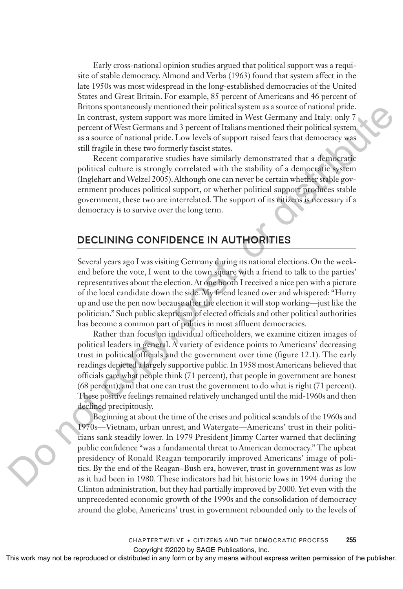Early cross-national opinion studies argued that political support was a requisite of stable democracy. Almond and Verba (1963) found that system affect in the late 1950s was most widespread in the long-established democracies of the United States and Great Britain. For example, 85 percent of Americans and 46 percent of Britons spontaneously mentioned their political system as a source of national pride. In contrast, system support was more limited in West Germany and Italy: only 7 percent of West Germans and 3 percent of Italians mentioned their political system as a source of national pride. Low levels of support raised fears that democracy was still fragile in these two formerly fascist states.

Recent comparative studies have similarly demonstrated that a democratic political culture is strongly correlated with the stability of a democratic system (Inglehart and Welzel 2005). Although one can never be certain whether stable government produces political support, or whether political support produces stable government, these two are interrelated. The support of its citizens is necessary if a democracy is to survive over the long term.

### **DECLINING CONFIDENCE IN AUTHORITIES**

Several years ago I was visiting Germany during its national elections. On the weekend before the vote, I went to the town square with a friend to talk to the parties' representatives about the election. At one booth I received a nice pen with a picture of the local candidate down the side. My friend leaned over and whispered: "Hurry up and use the pen now because after the election it will stop working—just like the politician." Such public skepticism of elected officials and other political authorities has become a common part of politics in most affluent democracies.

Rather than focus on individual officeholders, we examine citizen images of political leaders in general. A variety of evidence points to Americans' decreasing trust in political officials and the government over time (figure 12.1). The early readings depicted a largely supportive public. In 1958 most Americans believed that officials care what people think (71 percent), that people in government are honest (68 percent), and that one can trust the government to do what is right (71 percent). These positive feelings remained relatively unchanged until the mid-1960s and then declined precipitously.

Beginning at about the time of the crises and political scandals of the 1960s and 1970s—Vietnam, urban unrest, and Watergate—Americans' trust in their politicians sank steadily lower. In 1979 President Jimmy Carter warned that declining public confidence "was a fundamental threat to American democracy." The upbeat presidency of Ronald Reagan temporarily improved Americans' image of politics. By the end of the Reagan−Bush era, however, trust in government was as low as it had been in 1980. These indicators had hit historic lows in 1994 during the Clinton administration, but they had partially improved by 2000. Yet even with the unprecedented economic growth of the 1990s and the consolidation of democracy around the globe, Americans' trust in government rebounded only to the levels of From spaces were computed the replaced or spaces with the reproduced in any form or between the reproduced being permission of the publisher and the publisher and the publisher of the publisher of the publisher of the pub

chaptertwelve • Citizens and the Democrat ic Process **255** Copyright ©2020 by SAGE Publications, Inc.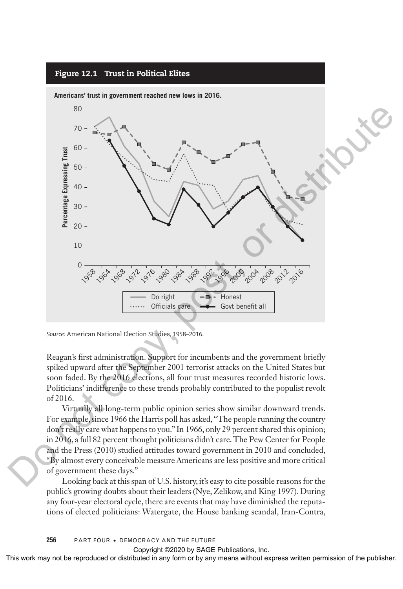#### Figure 12.1 Trust in Political Elites



**Americans' trust in government reached new lows in 2016.**

*Source:* American National Election Studies, 1958–2016.

Reagan's first administration. Support for incumbents and the government briefly spiked upward after the September 2001 terrorist attacks on the United States but soon faded. By the 2016 elections, all four trust measures recorded historic lows. Politicians' indifference to these trends probably contributed to the populist revolt of 2016.

Virtually all long-term public opinion series show similar downward trends. For example, since 1966 the Harris poll has asked, "The people running the country don't really care what happens to you." In 1966, only 29 percent shared this opinion; in 2016, a full 82 percent thought politicians didn't care. The Pew Center for People and the Press (2010) studied attitudes toward government in 2010 and concluded, "By almost every conceivable measure Americans are less positive and more critical of government these days."

Looking back at this span of U.S. history, it's easy to cite possible reasons for the public's growing doubts about their leaders (Nye, Zelikow, and King 1997). During any four-year electoral cycle, there are events that may have diminished the reputations of elected politicians: Watergate, the House banking scandal, Iran-Contra,

**256** PART FOUR • Democracy and the Future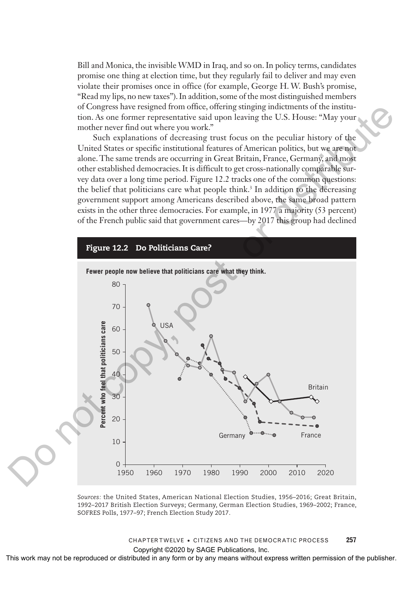Bill and Monica, the invisible WMD in Iraq, and so on. In policy terms, candidates promise one thing at election time, but they regularly fail to deliver and may even violate their promises once in office (for example, George H. W. Bush's promise, "Read my lips, no new taxes"). In addition, some of the most distinguished members of Congress have resigned from office, offering stinging indictments of the institution. As one former representative said upon leaving the U.S. House: "May your mother never find out where you work."

Such explanations of decreasing trust focus on the peculiar history of the United States or specific institutional features of American politics, but we are not alone. The same trends are occurring in Great Britain, France, Germany, and most other established democracies. It is difficult to get cross-nationally comparable survey data over a long time period. Figure 12.2 tracks one of the common questions: the belief that politicians care what people think.<sup>3</sup> In addition to the decreasing government support among Americans described above, the same broad pattern exists in the other three democracies. For example, in 1977 a majority (53 percent) of the French public said that government cares—by 2017 this group had declined



*Sources:* the United States, American National Election Studies, 1956–2016; Great Britain, 1992–2017 British Election Surveys; Germany, German Election Studies, 1969–2002; France, SOFRES Polls, 1977–97; French Election Study 2017.

chaptertwelve • Citizens and the Democrat ic Process **257** Copyright ©2020 by SAGE Publications, Inc.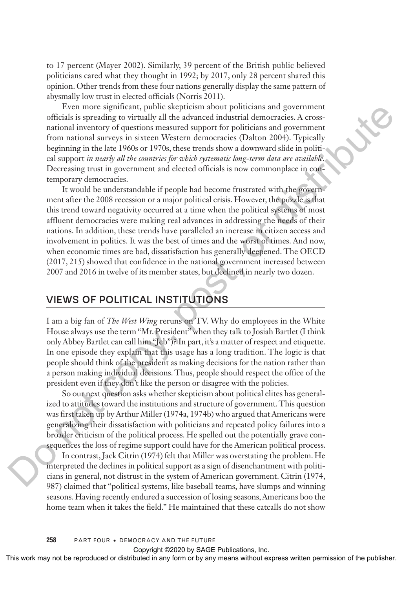to 17 percent (Mayer 2002). Similarly, 39 percent of the British public believed politicians cared what they thought in 1992; by 2017, only 28 percent shared this opinion. Other trends from these four nations generally display the same pattern of abysmally low trust in elected officials (Norris 2011).

Even more significant, public skepticism about politicians and government officials is spreading to virtually all the advanced industrial democracies. A crossnational inventory of questions measured support for politicians and government from national surveys in sixteen Western democracies (Dalton 2004). Typically beginning in the late 1960s or 1970s, these trends show a downward slide in political support *in nearly all the countries for which systematic long-term data are available.* Decreasing trust in government and elected officials is now commonplace in contemporary democracies.

It would be understandable if people had become frustrated with the government after the 2008 recession or a major political crisis. However, the puzzle is that this trend toward negativity occurred at a time when the political systems of most affluent democracies were making real advances in addressing the needs of their nations. In addition, these trends have paralleled an increase in citizen access and involvement in politics. It was the best of times and the worst of times. And now, when economic times are bad, dissatisfaction has generally deepened. The OECD (2017, 215) showed that confidence in the national government increased between 2007 and 2016 in twelve of its member states, but declined in nearly two dozen. From more specifically determining the reproduced in any form or between the publisher and the reproduced or distributed in any form or by any means when the publisher and the control or the publisher. The publisher and t

# **VIEWS OF POLITICAL INSTITUTIONS**

I am a big fan of *The West Wing* reruns on TV. Why do employees in the White House always use the term "Mr. President" when they talk to Josiah Bartlet (I think only Abbey Bartlet can call him "Jeb")? In part, it's a matter of respect and etiquette. In one episode they explain that this usage has a long tradition. The logic is that people should think of the president as making decisions for the nation rather than a person making individual decisions. Thus, people should respect the office of the president even if they don't like the person or disagree with the policies.

So our next question asks whether skepticism about political elites has generalized to attitudes toward the institutions and structure of government. This question was first taken up by Arthur Miller (1974a, 1974b) who argued that Americans were generalizing their dissatisfaction with politicians and repeated policy failures into a broader criticism of the political process. He spelled out the potentially grave consequences the loss of regime support could have for the American political process.

In contrast, Jack Citrin (1974) felt that Miller was overstating the problem. He interpreted the declines in political support as a sign of disenchantment with politicians in general, not distrust in the system of American government. Citrin (1974, 987) claimed that "political systems, like baseball teams, have slumps and winning seasons. Having recently endured a succession of losing seasons, Americans boo the home team when it takes the field." He maintained that these catcalls do not show

**258** PART FOUR • Democracy and the Future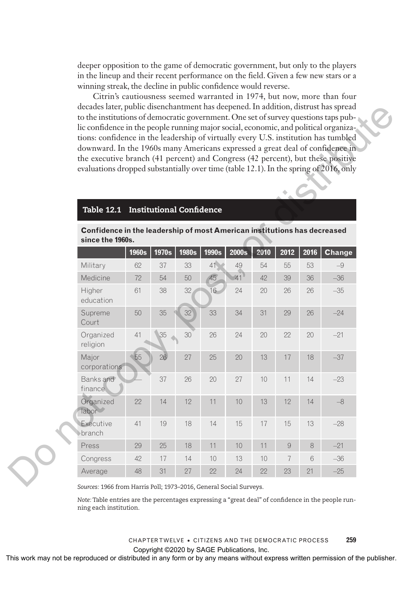deeper opposition to the game of democratic government, but only to the players in the lineup and their recent performance on the field. Given a few new stars or a winning streak, the decline in public confidence would reverse.

Citrin's cautiousness seemed warranted in 1974, but now, more than four decades later, public disenchantment has deepened. In addition, distrust has spread to the institutions of democratic government. One set of survey questions taps public confidence in the people running major social, economic, and political organizations: confidence in the leadership of virtually every U.S. institution has tumbled downward. In the 1960s many Americans expressed a great deal of confidence in the executive branch (41 percent) and Congress (42 percent), but these positive evaluations dropped substantially over time (table 12.1). In the spring of 2016, only

#### Table 12.1 Institutional Confidence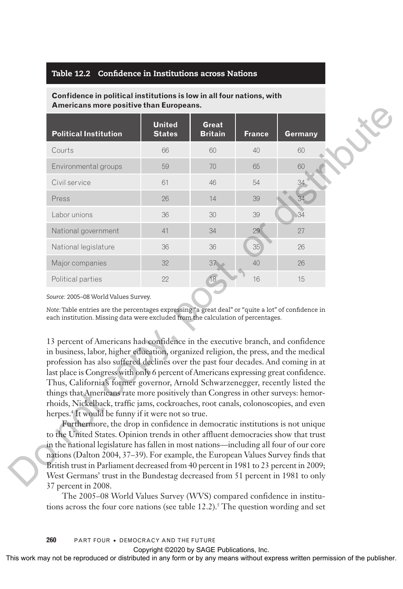#### Table 12.2 Confidence in Institutions across Nations

| <b>Political Institution</b>                                                                                                                                                                                                                                                                                                                                                                                     | <b>United</b><br><b>States</b> | Great<br><b>Britain</b> | <b>France</b> | Germany |  |
|------------------------------------------------------------------------------------------------------------------------------------------------------------------------------------------------------------------------------------------------------------------------------------------------------------------------------------------------------------------------------------------------------------------|--------------------------------|-------------------------|---------------|---------|--|
| Courts                                                                                                                                                                                                                                                                                                                                                                                                           | 66                             | 60                      | 40            | 60      |  |
| Environmental groups                                                                                                                                                                                                                                                                                                                                                                                             | 59                             | 70                      | 65            | 60      |  |
| Civil service                                                                                                                                                                                                                                                                                                                                                                                                    | 61                             | 46                      | 54            | 34      |  |
| Press                                                                                                                                                                                                                                                                                                                                                                                                            | 26                             | 14                      | 39            | 34      |  |
| Labor unions                                                                                                                                                                                                                                                                                                                                                                                                     | 36                             | 30                      | 39            | 34      |  |
| National government                                                                                                                                                                                                                                                                                                                                                                                              | 41                             | 34                      | 29            | 27      |  |
| National legislature                                                                                                                                                                                                                                                                                                                                                                                             | 36                             | 36                      | 35            | 26      |  |
| Major companies                                                                                                                                                                                                                                                                                                                                                                                                  | 32                             | 37,                     | 40            | 26      |  |
| Political parties                                                                                                                                                                                                                                                                                                                                                                                                | 22                             | 18                      | 16            | 15      |  |
| things that Americans rate more positively than Congress in other surveys: hemor-<br>rhoids, Nickelback, traffic jams, cockroaches, root canals, colonoscopies, and even<br>herpes. <sup>4</sup> It would be funny if it were not so true.<br>Furthermore, the drop in confidence in democratic institutions is not unique<br>to the United States. Opinion trends in other affluent democracies show that trust |                                |                         |               |         |  |
| in the national legislature has fallen in most nations-including all four of our core<br>nations (Dalton 2004, 37-39). For example, the European Values Survey finds that<br>British trust in Parliament decreased from 40 percent in 1981 to 23 percent in 2009;                                                                                                                                                |                                |                         |               |         |  |
| West Germans' trust in the Bundestag decreased from 51 percent in 1981 to only<br>37 percent in 2008.<br>The 2005-08 World Values Survey (WVS) compared confidence in institu-<br>tions across the four core nations (see table 12.2). <sup>5</sup> The question wording and set                                                                                                                                 |                                |                         |               |         |  |

**Confidence in political institutions is low in all four nations, with Americans more positive than Europeans.**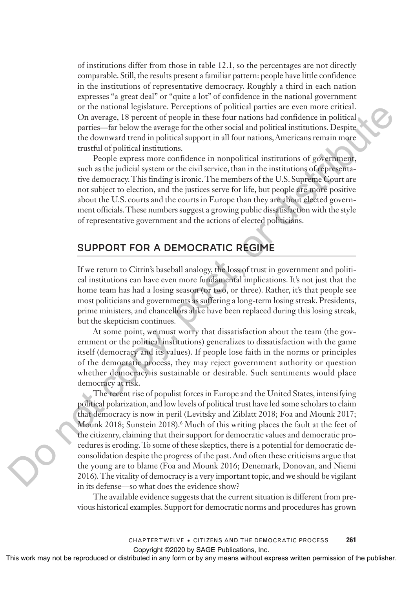of institutions differ from those in table 12.1, so the percentages are not directly comparable. Still, the results present a familiar pattern: people have little confidence in the institutions of representative democracy. Roughly a third in each nation expresses "a great deal" or "quite a lot" of confidence in the national government or the national legislature. Perceptions of political parties are even more critical. On average, 18 percent of people in these four nations had confidence in political parties—far below the average for the other social and political institutions. Despite the downward trend in political support in all four nations, Americans remain more trustful of political institutions.

People express more confidence in nonpolitical institutions of government, such as the judicial system or the civil service, than in the institutions of representative democracy. This finding is ironic. The members of the U.S. Supreme Court are not subject to election, and the justices serve for life, but people are more positive about the U.S. courts and the courts in Europe than they are about elected government officials. These numbers suggest a growing public dissatisfaction with the style of representative government and the actions of elected politicians.

# **SUPPORT FOR A DEMOCRATIC REGIME**

If we return to Citrin's baseball analogy, the loss of trust in government and political institutions can have even more fundamental implications. It's not just that the home team has had a losing season (or two, or three). Rather, it's that people see most politicians and governments as suffering a long-term losing streak. Presidents, prime ministers, and chancellors alike have been replaced during this losing streak, but the skepticism continues.

At some point, we must worry that dissatisfaction about the team (the government or the political institutions) generalizes to dissatisfaction with the game itself (democracy and its values). If people lose faith in the norms or principles of the democratic process, they may reject government authority or question whether democracy is sustainable or desirable. Such sentiments would place democracy at risk.

The recent rise of populist forces in Europe and the United States, intensifying political polarization, and low levels of political trust have led some scholars to claim that democracy is now in peril (Levitsky and Ziblatt 2018; Foa and Mounk 2017; Mounk 2018; Sunstein 2018).<sup>6</sup> Much of this writing places the fault at the feet of the citizenry, claiming that their support for democratic values and democratic procedures is eroding. To some of these skeptics, there is a potential for democratic deconsolidation despite the progress of the past. And often these criticisms argue that the young are to blame (Foa and Mounk 2016; Denemark, Donovan, and Niemi 2016). The vitality of democracy is a very important topic, and we should be vigilant in its defense—so what does the evidence show? The ratural elegation to produce the reproduced or distributed in any form or the reproduced in any form or the reproduced in any form or by any form or by any form or by any form or by any form or by any form or by any f

The available evidence suggests that the current situation is different from previous historical examples. Support for democratic norms and procedures has grown

chaptertwelve • Citizens and the Democrat ic Process **261** Copyright ©2020 by SAGE Publications, Inc.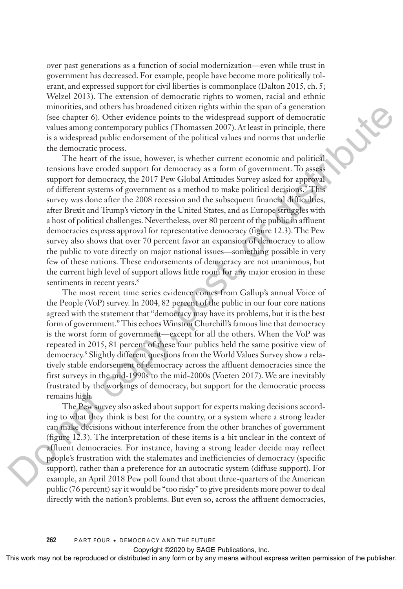over past generations as a function of social modernization—even while trust in government has decreased. For example, people have become more politically tolerant, and expressed support for civil liberties is commonplace (Dalton 2015, ch. 5; Welzel 2013). The extension of democratic rights to women, racial and ethnic minorities, and others has broadened citizen rights within the span of a generation (see chapter 6). Other evidence points to the widespread support of democratic values among contemporary publics (Thomassen 2007). At least in principle, there is a widespread public endorsement of the political values and norms that underlie the democratic process.

The heart of the issue, however, is whether current economic and political tensions have eroded support for democracy as a form of government. To assess support for democracy, the 2017 Pew Global Attitudes Survey asked for approval of different systems of government as a method to make political decisions.7 This survey was done after the 2008 recession and the subsequent financial difficulties, after Brexit and Trump's victory in the United States, and as Europe struggles with a host of political challenges. Nevertheless, over 80 percent of the public in affluent democracies express approval for representative democracy (figure 12.3). The Pew survey also shows that over 70 percent favor an expansion of democracy to allow the public to vote directly on major national issues—something possible in very few of these nations. These endorsements of democracy are not unanimous, but the current high level of support allows little room for any major erosion in these sentiments in recent years.<sup>8</sup> The expression of the reproduced or the reproduced or the reproduced or distributed in any form of the reproduced or the results of the results of the results of the set of the set of the results of the results of the pub

The most recent time series evidence comes from Gallup's annual Voice of the People (VoP) survey. In 2004, 82 percent of the public in our four core nations agreed with the statement that "democracy may have its problems, but it is the best form of government." This echoes Winston Churchill's famous line that democracy is the worst form of government—except for all the others. When the VoP was repeated in 2015, 81 percent of these four publics held the same positive view of democracy.9 Slightly different questions from the World Values Survey show a relatively stable endorsement of democracy across the affluent democracies since the first surveys in the mid-1990s to the mid-2000s (Voeten 2017). We are inevitably frustrated by the workings of democracy, but support for the democratic process remains high.

The Pew survey also asked about support for experts making decisions according to what they think is best for the country, or a system where a strong leader can make decisions without interference from the other branches of government (figure 12.3). The interpretation of these items is a bit unclear in the context of affluent democracies. For instance, having a strong leader decide may reflect people's frustration with the stalemates and inefficiencies of democracy (specific support), rather than a preference for an autocratic system (diffuse support). For example, an April 2018 Pew poll found that about three-quarters of the American public (76 percent) say it would be "too risky" to give presidents more power to deal directly with the nation's problems. But even so, across the affluent democracies,

**262** PART FOUR • Democracy and the Future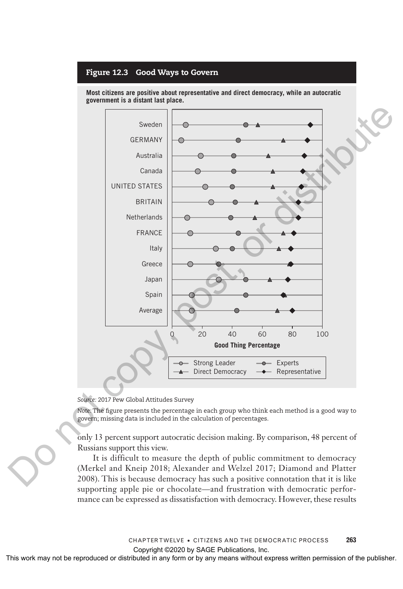#### Figure 12.3 Good Ways to Govern

**Most citizens are positive about representative and direct democracy, while an autocratic government is a distant last place.**



*Source:* 2017 Pew Global Attitudes Survey

*Note:* The figure presents the percentage in each group who think each method is a good way to govern; missing data is included in the calculation of percentages.

only 13 percent support autocratic decision making. By comparison, 48 percent of Russians support this view.

It is difficult to measure the depth of public commitment to democracy (Merkel and Kneip 2018; Alexander and Welzel 2017; Diamond and Platter 2008). This is because democracy has such a positive connotation that it is like supporting apple pie or chocolate—and frustration with democratic performance can be expressed as dissatisfaction with democracy. However, these results

chaptertwelve • Citizens and the Democrat ic Process **263** Copyright ©2020 by SAGE Publications, Inc.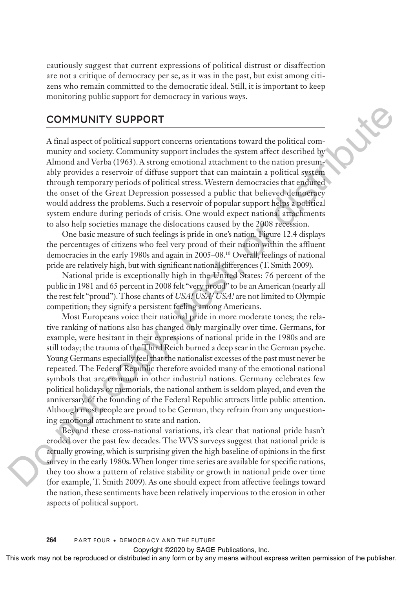cautiously suggest that current expressions of political distrust or disaffection are not a critique of democracy per se, as it was in the past, but exist among citizens who remain committed to the democratic ideal. Still, it is important to keep monitoring public support for democracy in various ways.

## **COMMUNITY SUPPORT**

A final aspect of political support concerns orientations toward the political community and society. Community support includes the system affect described by Almond and Verba (1963). A strong emotional attachment to the nation presumably provides a reservoir of diffuse support that can maintain a political system through temporary periods of political stress. Western democracies that endured the onset of the Great Depression possessed a public that believed democracy would address the problems. Such a reservoir of popular support helps a political system endure during periods of crisis. One would expect national attachments to also help societies manage the dislocations caused by the 2008 recession.

One basic measure of such feelings is pride in one's nation. Figure 12.4 displays the percentages of citizens who feel very proud of their nation within the affluent democracies in the early 1980s and again in 2005–08.10 Overall, feelings of national pride are relatively high, but with significant national differences (T. Smith 2009).

National pride is exceptionally high in the United States: 76 percent of the public in 1981 and 65 percent in 2008 felt "very proud" to be an American (nearly all the rest felt "proud"). Those chants of *USA! USA! USA!* are not limited to Olympic competition; they signify a persistent feeling among Americans.

Most Europeans voice their national pride in more moderate tones; the relative ranking of nations also has changed only marginally over time. Germans, for example, were hesitant in their expressions of national pride in the 1980s and are still today; the trauma of the Third Reich burned a deep scar in the German psyche. Young Germans especially feel that the nationalist excesses of the past must never be repeated. The Federal Republic therefore avoided many of the emotional national symbols that are common in other industrial nations. Germany celebrates few political holidays or memorials, the national anthem is seldom played, and even the anniversary of the founding of the Federal Republic attracts little public attention. Although most people are proud to be German, they refrain from any unquestioning emotional attachment to state and nation. COMMUNITY SUPPORT<br>
Afinal sapect of political sapport concerns orientations toward the political con-<br>
multipured in the rest of the rest or by any means without the parties of the publisher. The rest of the form of the p

Beyond these cross-national variations, it's clear that national pride hasn't eroded over the past few decades. The WVS surveys suggest that national pride is actually growing, which is surprising given the high baseline of opinions in the first survey in the early 1980s. When longer time series are available for specific nations, they too show a pattern of relative stability or growth in national pride over time (for example, T. Smith 2009). As one should expect from affective feelings toward the nation, these sentiments have been relatively impervious to the erosion in other aspects of political support.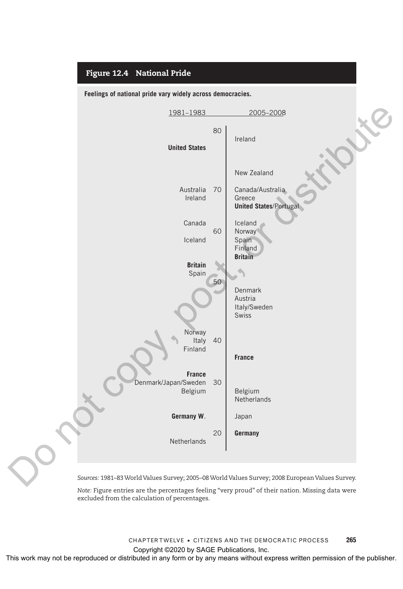



**Feelings of national pride vary widely across democracies.**

*Sources:* 1981–83 World Values Survey; 2005–08 World Values Survey; 2008 European Values Survey.

*Note:* Figure entries are the percentages feeling "very proud" of their nation. Missing data were excluded from the calculation of percentages.

chaptertwelve • Citizens and the Democrat ic Process **265** Copyright ©2020 by SAGE Publications, Inc.<br>This work may not be reproduced or distributed in any form or by any means without express written permission of the publisher.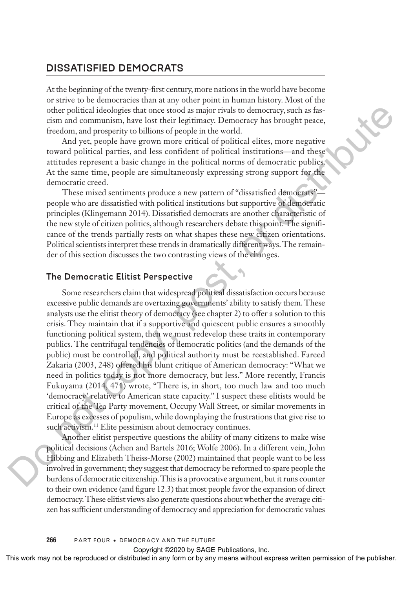## **DISSATISFIED DEMOCRATS**

At the beginning of the twenty-first century, more nations in the world have become or strive to be democracies than at any other point in human history. Most of the other political ideologies that once stood as major rivals to democracy, such as fascism and communism, have lost their legitimacy. Democracy has brought peace, freedom, and prosperity to billions of people in the world.

And yet, people have grown more critical of political elites, more negative toward political parties, and less confident of political institutions—and these attitudes represent a basic change in the political norms of democratic publics. At the same time, people are simultaneously expressing strong support for the democratic creed.

These mixed sentiments produce a new pattern of "dissatisfied democrats" people who are dissatisfied with political institutions but supportive of democratic principles (Klingemann 2014). Dissatisfied democrats are another characteristic of the new style of citizen politics, although researchers debate this point. The significance of the trends partially rests on what shapes these new citizen orientations. Political scientists interpret these trends in dramatically different ways. The remainder of this section discusses the two contrasting views of the changes.

#### **The Democratic Elitist Perspective**

Some researchers claim that widespread political dissatisfaction occurs because excessive public demands are overtaxing governments' ability to satisfy them. These analysts use the elitist theory of democracy (see chapter 2) to offer a solution to this crisis. They maintain that if a supportive and quiescent public ensures a smoothly functioning political system, then we must redevelop these traits in contemporary publics. The centrifugal tendencies of democratic politics (and the demands of the public) must be controlled, and political authority must be reestablished. Fareed Zakaria (2003, 248) offered his blunt critique of American democracy: "What we need in politics today is not more democracy, but less." More recently, Francis Fukuyama (2014, 471) wrote, "There is, in short, too much law and too much 'democracy' relative to American state capacity." I suspect these elitists would be critical of the Tea Party movement, Occupy Wall Street, or similar movements in Europe as excesses of populism, while downplaying the frustrations that give rise to such activism.<sup>11</sup> Elite pessimism about democracy continues. ofter political is electronical to the rest model or the reproduced or the reproduced or the reproduced or distributed in the rest or the rest or the rest of the rest of the rest of the rest of the rest of the rest of the

Another elitist perspective questions the ability of many citizens to make wise political decisions (Achen and Bartels 2016; Wolfe 2006). In a different vein, John Hibbing and Elizabeth Theiss-Morse (2002) maintained that people want to be less involved in government; they suggest that democracy be reformed to spare people the burdens of democratic citizenship. This is a provocative argument, but it runs counter to their own evidence (and figure 12.3) that most people favor the expansion of direct democracy. These elitist views also generate questions about whether the average citizen has sufficient understanding of democracy and appreciation for democratic values

**266** PART FOUR • Democracy and the Future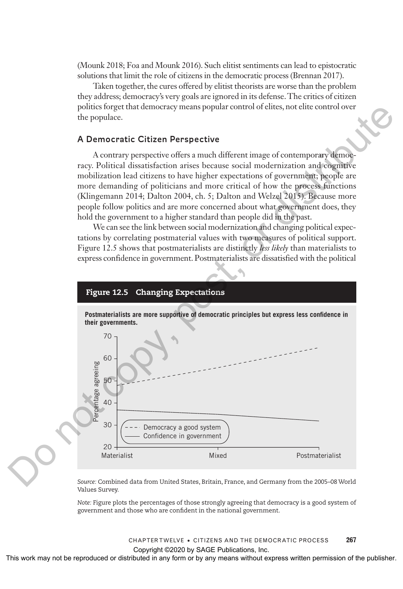(Mounk 2018; Foa and Mounk 2016). Such elitist sentiments can lead to epistocratic solutions that limit the role of citizens in the democratic process (Brennan 2017).

Taken together, the cures offered by elitist theorists are worse than the problem they address; democracy's very goals are ignored in its defense. The critics of citizen politics forget that democracy means popular control of elites, not elite control over the populace.

#### **A Democratic Citizen Perspective**

A contrary perspective offers a much different image of contemporary democracy. Political dissatisfaction arises because social modernization and cognitive mobilization lead citizens to have higher expectations of government; people are more demanding of politicians and more critical of how the process functions (Klingemann 2014; Dalton 2004, ch. 5; Dalton and Welzel 2015). Because more people follow politics and are more concerned about what government does, they hold the government to a higher standard than people did in the past.

We can see the link between social modernization and changing political expectations by correlating postmaterial values with two measures of political support. Figure 12.5 shows that postmaterialists are distinctly *less likely* than materialists to express confidence in government. Postmaterialists are dissatisfied with the political



*Source:* Combined data from United States, Britain, France, and Germany from the 2005–08 World Values Survey.

*Note:* Figure plots the percentages of those strongly agreeing that democracy is a good system of government and those who are confident in the national government.

> chaptertwelve • Citizens and the Democrat ic Process **267** Copyright ©2020 by SAGE Publications, Inc.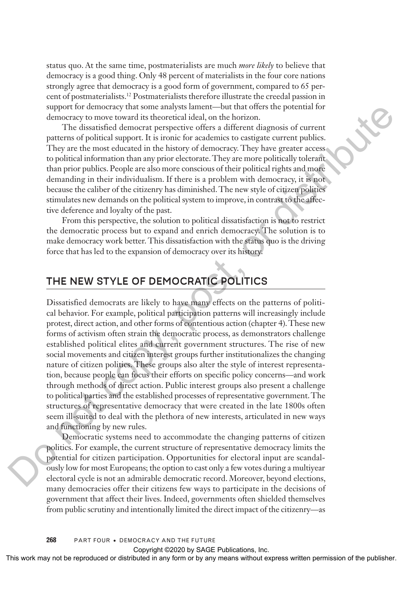status quo. At the same time, postmaterialists are much *more likely* to believe that democracy is a good thing. Only 48 percent of materialists in the four core nations strongly agree that democracy is a good form of government, compared to 65 percent of postmaterialists.12 Postmaterialists therefore illustrate the creedal passion in support for democracy that some analysts lament—but that offers the potential for democracy to move toward its theoretical ideal, on the horizon.

The dissatisfied democrat perspective offers a different diagnosis of current patterns of political support. It is ironic for academics to castigate current publics. They are the most educated in the history of democracy. They have greater access to political information than any prior electorate. They are more politically tolerant than prior publics. People are also more conscious of their political rights and more demanding in their individualism. If there is a problem with democracy, it is not because the caliber of the citizenry has diminished. The new style of citizen politics stimulates new demands on the political system to improve, in contrast to the affective deference and loyalty of the past.

From this perspective, the solution to political dissatisfaction is not to restrict the democratic process but to expand and enrich democracy. The solution is to make democracy work better. This dissatisfaction with the status quo is the driving force that has led to the expansion of democracy over its history.

# **THE NEW STYLE OF DEMOCRATIC POLITICS**

Dissatisfied democrats are likely to have many effects on the patterns of political behavior. For example, political participation patterns will increasingly include protest, direct action, and other forms of contentious action (chapter 4). These new forms of activism often strain the democratic process, as demonstrators challenge established political elites and current government structures. The rise of new social movements and citizen interest groups further institutionalizes the changing nature of citizen politics. These groups also alter the style of interest representation, because people can focus their efforts on specific policy concerns—and work through methods of direct action. Public interest groups also present a challenge to political parties and the established processes of representative government. The structures of representative democracy that were created in the late 1800s often seem ill-suited to deal with the plethora of new interests, articulated in new ways and functioning by new rules. Support for the researchies there is the reproduced or distributed in the responsible or the rest or distributed in any form or by any means without the publisher of the publisher. A distributed in any form of the publish

Democratic systems need to accommodate the changing patterns of citizen politics. For example, the current structure of representative democracy limits the potential for citizen participation. Opportunities for electoral input are scandalously low for most Europeans; the option to cast only a few votes during a multiyear electoral cycle is not an admirable democratic record. Moreover, beyond elections, many democracies offer their citizens few ways to participate in the decisions of government that affect their lives. Indeed, governments often shielded themselves from public scrutiny and intentionally limited the direct impact of the citizenry—as

**268** PART FOUR • Democracy and the Future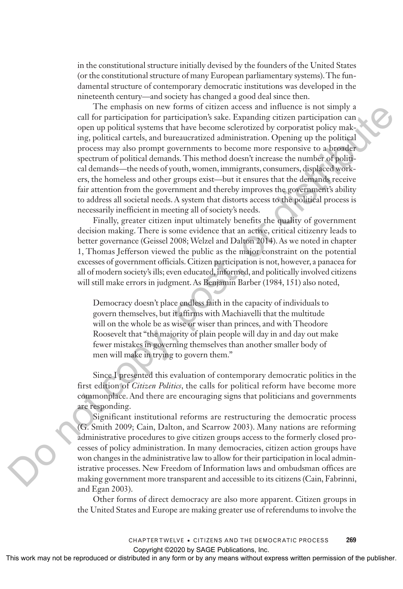in the constitutional structure initially devised by the founders of the United States (or the constitutional structure of many European parliamentary systems). The fundamental structure of contemporary democratic institutions was developed in the nineteenth century—and society has changed a good deal since then.

The emphasis on new forms of citizen access and influence is not simply a call for participation for participation's sake. Expanding citizen participation can open up political systems that have become sclerotized by corporatist policy making, political cartels, and bureaucratized administration. Opening up the political process may also prompt governments to become more responsive to a broader spectrum of political demands. This method doesn't increase the number of political demands—the needs of youth, women, immigrants, consumers, displaced workers, the homeless and other groups exist—but it ensures that the demands receive fair attention from the government and thereby improves the government's ability to address all societal needs. A system that distorts access to the political process is necessarily inefficient in meeting all of society's needs. The emptission any form or by any form or by any form of the stributed in any form or policinal permission or by any means when the restricted by any means permission permission of the publisher. This method descributed i

Finally, greater citizen input ultimately benefits the quality of government decision making. There is some evidence that an active, critical citizenry leads to better governance (Geissel 2008; Welzel and Dalton 2014). As we noted in chapter 1, Thomas Jefferson viewed the public as the major constraint on the potential excesses of government officials. Citizen participation is not, however, a panacea for all of modern society's ills; even educated, informed, and politically involved citizens will still make errors in judgment. As Benjamin Barber (1984, 151) also noted,

Democracy doesn't place endless faith in the capacity of individuals to govern themselves, but it affirms with Machiavelli that the multitude will on the whole be as wise or wiser than princes, and with Theodore Roosevelt that "the majority of plain people will day in and day out make fewer mistakes in governing themselves than another smaller body of men will make in trying to govern them."

Since I presented this evaluation of contemporary democratic politics in the first edition of *Citizen Politics*, the calls for political reform have become more commonplace. And there are encouraging signs that politicians and governments are responding.

Significant institutional reforms are restructuring the democratic process (G. Smith 2009; Cain, Dalton, and Scarrow 2003). Many nations are reforming administrative procedures to give citizen groups access to the formerly closed processes of policy administration. In many democracies, citizen action groups have won changes in the administrative law to allow for their participation in local administrative processes. New Freedom of Information laws and ombudsman offices are making government more transparent and accessible to its citizens (Cain, Fabrinni, and Egan 2003).

Other forms of direct democracy are also more apparent. Citizen groups in the United States and Europe are making greater use of referendums to involve the

chaptertwelve • Citizens and the Democrat ic Process **269** Copyright ©2020 by SAGE Publications, Inc.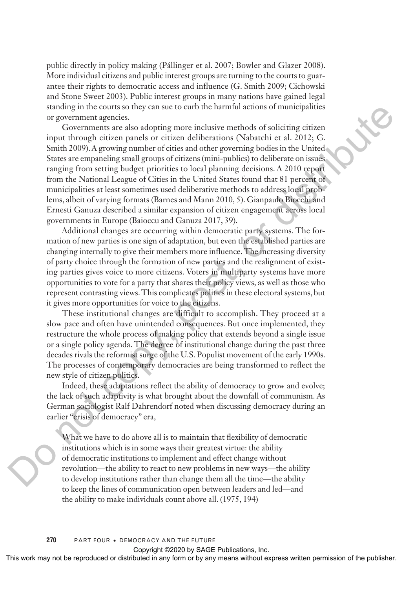public directly in policy making (Pállinger et al. 2007; Bowler and Glazer 2008). More individual citizens and public interest groups are turning to the courts to guarantee their rights to democratic access and influence (G. Smith 2009; Cichowski and Stone Sweet 2003). Public interest groups in many nations have gained legal standing in the courts so they can sue to curb the harmful actions of municipalities or government agencies.

Governments are also adopting more inclusive methods of soliciting citizen input through citizen panels or citizen deliberations (Nabatchi et al. 2012; G. Smith 2009). A growing number of cities and other governing bodies in the United States are empaneling small groups of citizens (mini-publics) to deliberate on issues ranging from setting budget priorities to local planning decisions. A 2010 report from the National League of Cities in the United States found that 81 percent of municipalities at least sometimes used deliberative methods to address local problems, albeit of varying formats (Barnes and Mann 2010, 5). Gianpaulo Biocchi and Ernesti Ganuza described a similar expansion of citizen engagement across local governments in Europe (Baioccu and Ganuza 2017, 39). Starting in the constraints of the publishering and the barriers of the methods of the constraints are also alability and the barriers of the constraints with the publishering and the publishering and the publishering and

Additional changes are occurring within democratic party systems. The formation of new parties is one sign of adaptation, but even the established parties are changing internally to give their members more influence. The increasing diversity of party choice through the formation of new parties and the realignment of existing parties gives voice to more citizens. Voters in multiparty systems have more opportunities to vote for a party that shares their policy views, as well as those who represent contrasting views. This complicates politics in these electoral systems, but it gives more opportunities for voice to the citizens.

These institutional changes are difficult to accomplish. They proceed at a slow pace and often have unintended consequences. But once implemented, they restructure the whole process of making policy that extends beyond a single issue or a single policy agenda. The degree of institutional change during the past three decades rivals the reformist surge of the U.S. Populist movement of the early 1990s. The processes of contemporary democracies are being transformed to reflect the new style of citizen politics.

Indeed, these adaptations reflect the ability of democracy to grow and evolve; the lack of such adaptivity is what brought about the downfall of communism. As German sociologist Ralf Dahrendorf noted when discussing democracy during an earlier "crisis of democracy" era,

What we have to do above all is to maintain that flexibility of democratic institutions which is in some ways their greatest virtue: the ability of democratic institutions to implement and effect change without revolution—the ability to react to new problems in new ways—the ability to develop institutions rather than change them all the time—the ability to keep the lines of communication open between leaders and led—and the ability to make individuals count above all. (1975, 194)

**270** PART FOUR • Democracy and the Future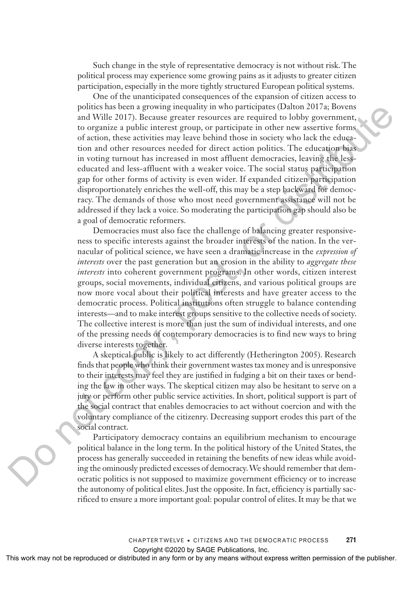Such change in the style of representative democracy is not without risk. The political process may experience some growing pains as it adjusts to greater citizen participation, especially in the more tightly structured European political systems.

One of the unanticipated consequences of the expansion of citizen access to politics has been a growing inequality in who participates (Dalton 2017a; Bovens and Wille 2017). Because greater resources are required to lobby government, to organize a public interest group, or participate in other new assertive forms of action, these activities may leave behind those in society who lack the education and other resources needed for direct action politics. The education bias in voting turnout has increased in most affluent democracies, leaving the lesseducated and less-affluent with a weaker voice. The social status participation gap for other forms of activity is even wider. If expanded citizen participation disproportionately enriches the well-off, this may be a step backward for democracy. The demands of those who most need government assistance will not be addressed if they lack a voice. So moderating the participation gap should also be a goal of democratic reformers.

Democracies must also face the challenge of balancing greater responsiveness to specific interests against the broader interests of the nation. In the vernacular of political science, we have seen a dramatic increase in the *expression of interests* over the past generation but an erosion in the ability to *aggregate these interests* into coherent government programs. In other words, citizen interest groups, social movements, individual citizens, and various political groups are now more vocal about their political interests and have greater access to the democratic process. Political institutions often struggle to balance contending interests—and to make interest groups sensitive to the collective needs of society. The collective interest is more than just the sum of individual interests, and one of the pressing needs of contemporary democracies is to find new ways to bring diverse interests together. plotten in the reproduced or distributed in any form of the publisher or distributed in the reproduced or distributed in any form or by any means when the means were the means when the means were the means when the means

A skeptical public is likely to act differently (Hetherington 2005). Research finds that people who think their government wastes tax money and is unresponsive to their interests may feel they are justified in fudging a bit on their taxes or bending the law in other ways. The skeptical citizen may also be hesitant to serve on a jury or perform other public service activities. In short, political support is part of the social contract that enables democracies to act without coercion and with the voluntary compliance of the citizenry. Decreasing support erodes this part of the social contract.

Participatory democracy contains an equilibrium mechanism to encourage political balance in the long term. In the political history of the United States, the process has generally succeeded in retaining the benefits of new ideas while avoiding the ominously predicted excesses of democracy. We should remember that democratic politics is not supposed to maximize government efficiency or to increase the autonomy of political elites. Just the opposite. In fact, efficiency is partially sacrificed to ensure a more important goal: popular control of elites. It may be that we

chaptertwelve • Citizens and the Democrat ic Process **271** Copyright ©2020 by SAGE Publications, Inc.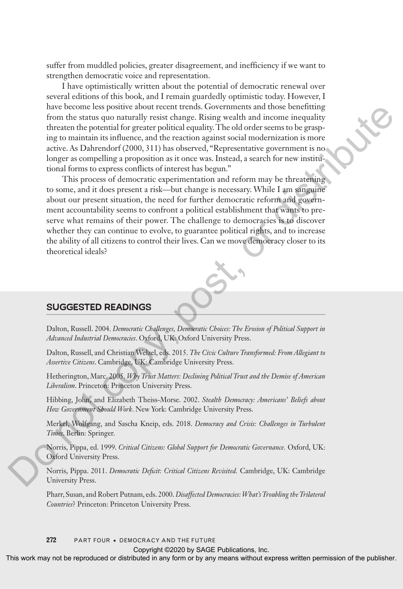suffer from muddled policies, greater disagreement, and inefficiency if we want to strengthen democratic voice and representation.

I have optimistically written about the potential of democratic renewal over several editions of this book, and I remain guardedly optimistic today. However, I have become less positive about recent trends. Governments and those benefitting from the status quo naturally resist change. Rising wealth and income inequality threaten the potential for greater political equality. The old order seems to be grasping to maintain its influence, and the reaction against social modernization is more active. As Dahrendorf (2000, 311) has observed, "Representative government is no longer as compelling a proposition as it once was. Instead, a search for new institutional forms to express conflicts of interest has begun."

This process of democratic experimentation and reform may be threatening to some, and it does present a risk—but change is necessary. While I am sanguine about our present situation, the need for further democratic reform and government accountability seems to confront a political establishment that wants to preserve what remains of their power. The challenge to democracies is to discover whether they can continue to evolve, to guarantee political rights, and to increase the ability of all citizens to control their lives. Can we move democracy closer to its theoretical ideals? From the reproduced or distributed or distributed in any form or by any means with the reproduced or distributed in any form or by any means with the reproduced in any form or by any form or by any form or by any form or

#### SUGGESTED READINGS

Dalton, Russell. 2004. *Democratic Challenges, Democratic Choices: The Erosion of Political Support in Advanced Industrial Democracies*. Oxford, UK: Oxford University Press.

Dalton, Russell, and Christian Welzel, eds. 2015. *The Civic Culture Transformed: From Allegiant to Assertive Citizens*. Cambridge, UK: Cambridge University Press.

Hetherington, Marc. 2005. *Why Trust Matters: Declining Political Trust and the Demise of American Liberalism*. Princeton: Princeton University Press.

Hibbing, John, and Elizabeth Theiss-Morse. 2002. *Stealth Democracy: Americans' Beliefs about How Government Should Work*. New York: Cambridge University Press.

Merkel, Wolfgang, and Sascha Kneip, eds. 2018. *Democracy and Crisis: Challenges in Turbulent Times*. Berlin: Springer.

Norris, Pippa, ed. 1999. *Critical Citizens: Global Support for Democratic Governance.* Oxford, UK: Oxford University Press.

Norris, Pippa. 2011. *Democratic Deficit: Critical Citizens Revisited.* Cambridge, UK: Cambridge University Press.

Pharr, Susan, and Robert Putnam, eds. 2000. *Disaffected Democracies: What's Troubling the Trilateral Countries*? Princeton: Princeton University Press.

#### **272** PART FOUR • Democracy and the Future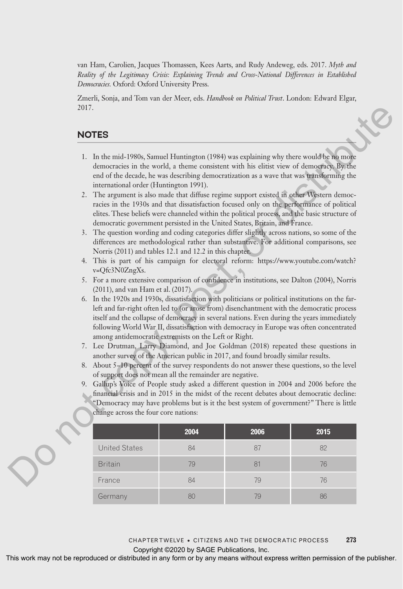van Ham, Carolien, Jacques Thomassen, Kees Aarts, and Rudy Andeweg, eds. 2017. *Myth and Reality of the Legitimacy Crisis: Explaining Trends and Cross-National Differences in Established Democracies.* Oxford: Oxford University Press.

Zmerli, Sonja, and Tom van der Meer, eds. *Handbook on Political Trust*. London: Edward Elgar, 2017.

#### **NOTES**

- 1. In the mid-1980s, Samuel Huntington (1984) was explaining why there would be no more democracies in the world, a theme consistent with his elitist view of democracy. By the end of the decade, he was describing democratization as a wave that was transforming the international order (Huntington 1991).
- 2. The argument is also made that diffuse regime support existed in other Western democracies in the 1930s and that dissatisfaction focused only on the performance of political elites. These beliefs were channeled within the political process, and the basic structure of democratic government persisted in the United States, Britain, and France.
- 3. The question wording and coding categories differ slightly across nations, so some of the differences are methodological rather than substantive. For additional comparisons, see Norris (2011) and tables 12.1 and 12.2 in this chapter.
- 4. This is part of his campaign for electoral reform: https://www.youtube.com/watch? v=Qfc3N0ZngXs.
- 5. For a more extensive comparison of confidence in institutions, see Dalton (2004), Norris (2011), and van Ham et al. (2017).
- 6. In the 1920s and 1930s, dissatisfaction with politicians or political institutions on the farleft and far-right often led to (or arose from) disenchantment with the democratic process itself and the collapse of democracy in several nations. Even during the years immediately following World War II, dissatisfaction with democracy in Europe was often concentrated among antidemocratic extremists on the Left or Right.
- 7. Lee Drutman, Larry Diamond, and Joe Goldman (2018) repeated these questions in another survey of the American public in 2017, and found broadly similar results.
- 8. About 5−10 percent of the survey respondents do not answer these questions, so the level of support does not mean all the remainder are negative.
- 9. Gallup's Voice of People study asked a different question in 2004 and 2006 before the financial crisis and in 2015 in the midst of the recent debates about democratic decline: "Democracy may have problems but is it the best system of government?" There is little change across the four core nations:

| 2017.                                                                                                                           |                                                                                                                                                                                                                                                                                                                                                                                                                                                                                                                                                                                                                                                                                                                                                                                                                                                                                                                                                                                                                                                                                                                           |      |      |  |
|---------------------------------------------------------------------------------------------------------------------------------|---------------------------------------------------------------------------------------------------------------------------------------------------------------------------------------------------------------------------------------------------------------------------------------------------------------------------------------------------------------------------------------------------------------------------------------------------------------------------------------------------------------------------------------------------------------------------------------------------------------------------------------------------------------------------------------------------------------------------------------------------------------------------------------------------------------------------------------------------------------------------------------------------------------------------------------------------------------------------------------------------------------------------------------------------------------------------------------------------------------------------|------|------|--|
|                                                                                                                                 |                                                                                                                                                                                                                                                                                                                                                                                                                                                                                                                                                                                                                                                                                                                                                                                                                                                                                                                                                                                                                                                                                                                           |      |      |  |
| <b>NOTES</b>                                                                                                                    |                                                                                                                                                                                                                                                                                                                                                                                                                                                                                                                                                                                                                                                                                                                                                                                                                                                                                                                                                                                                                                                                                                                           |      |      |  |
|                                                                                                                                 | 1. In the mid-1980s, Samuel Huntington (1984) was explaining why there would be no more<br>democracies in the world, a theme consistent with his elitist view of democracy. By the<br>end of the decade, he was describing democratization as a wave that was transforming the                                                                                                                                                                                                                                                                                                                                                                                                                                                                                                                                                                                                                                                                                                                                                                                                                                            |      |      |  |
|                                                                                                                                 | international order (Huntington 1991).<br>2. The argument is also made that diffuse regime support existed in other Western democ-<br>racies in the 1930s and that dissatisfaction focused only on the performance of political<br>elites. These beliefs were channeled within the political process, and the basic structure of<br>democratic government persisted in the United States, Britain, and France.                                                                                                                                                                                                                                                                                                                                                                                                                                                                                                                                                                                                                                                                                                            |      |      |  |
|                                                                                                                                 | 3. The question wording and coding categories differ slightly across nations, so some of the<br>differences are methodological rather than substantive. For additional comparisons, see<br>Norris (2011) and tables 12.1 and 12.2 in this chapter.                                                                                                                                                                                                                                                                                                                                                                                                                                                                                                                                                                                                                                                                                                                                                                                                                                                                        |      |      |  |
|                                                                                                                                 | 4. This is part of his campaign for electoral reform: https://www.youtube.com/watch?                                                                                                                                                                                                                                                                                                                                                                                                                                                                                                                                                                                                                                                                                                                                                                                                                                                                                                                                                                                                                                      |      |      |  |
| v=Qfc3N0ZngXs.                                                                                                                  | 5. For a more extensive comparison of confidence in institutions, see Dalton (2004), Norris<br>(2011), and van Ham et al. (2017).                                                                                                                                                                                                                                                                                                                                                                                                                                                                                                                                                                                                                                                                                                                                                                                                                                                                                                                                                                                         |      |      |  |
|                                                                                                                                 | 6. In the 1920s and 1930s, dissatisfaction with politicians or political institutions on the far-<br>left and far-right often led to (or arose from) disenchantment with the democratic process<br>itself and the collapse of democracy in several nations. Even during the years immediately<br>following World War II, dissatisfaction with democracy in Europe was often concentrated<br>among antidemocratic extremists on the Left or Right.<br>7. Lee Drutman, Larry Diamond, and Joe Goldman (2018) repeated these questions in<br>another survey of the American public in 2017, and found broadly similar results.<br>8. About 5-10 percent of the survey respondents do not answer these questions, so the level<br>of support does not mean all the remainder are negative.<br>9. Gallup's Voice of People study asked a different question in 2004 and 2006 before the<br>financial crisis and in 2015 in the midst of the recent debates about democratic decline:<br>"Democracy may have problems but is it the best system of government?" There is little<br>change across the four core nations:<br>2004 | 2006 | 2015 |  |
| <b>United States</b>                                                                                                            | 84                                                                                                                                                                                                                                                                                                                                                                                                                                                                                                                                                                                                                                                                                                                                                                                                                                                                                                                                                                                                                                                                                                                        | 87   | 82   |  |
| <b>Britain</b>                                                                                                                  | 79                                                                                                                                                                                                                                                                                                                                                                                                                                                                                                                                                                                                                                                                                                                                                                                                                                                                                                                                                                                                                                                                                                                        | 81   | 76   |  |
| France                                                                                                                          | 84                                                                                                                                                                                                                                                                                                                                                                                                                                                                                                                                                                                                                                                                                                                                                                                                                                                                                                                                                                                                                                                                                                                        | 79   | 76   |  |
| Germany                                                                                                                         | 80                                                                                                                                                                                                                                                                                                                                                                                                                                                                                                                                                                                                                                                                                                                                                                                                                                                                                                                                                                                                                                                                                                                        | 79   | 86   |  |
| This work may not be reproduced or distributed in any form or by any means without express written permission of the publisher. | <b>CHAPTERTWELVE • CITIZENS AND THE DEMOCRATIC PROCESS</b><br>Copyright ©2020 by SAGE Publications, Inc.                                                                                                                                                                                                                                                                                                                                                                                                                                                                                                                                                                                                                                                                                                                                                                                                                                                                                                                                                                                                                  |      | 273  |  |